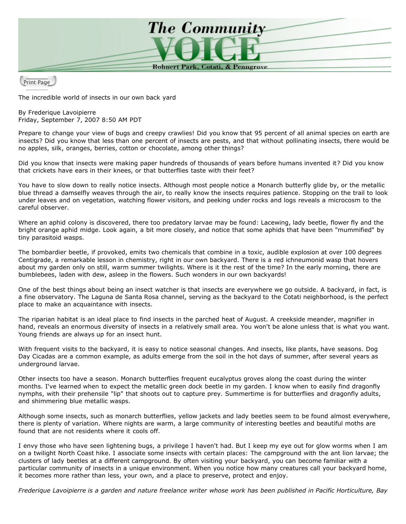

Print Page

The incredible world of insects in our own back yard

By Frederique Lavoipierre Friday, September 7, 2007 8:50 AM PDT

Prepare to change your view of bugs and creepy crawlies! Did you know that 95 percent of all animal species on earth are insects? Did you know that less than one percent of insects are pests, and that without pollinating insects, there would be no apples, silk, oranges, berries, cotton or chocolate, among other things?

Did you know that insects were making paper hundreds of thousands of years before humans invented it? Did you know that crickets have ears in their knees, or that butterflies taste with their feet?

You have to slow down to really notice insects. Although most people notice a Monarch butterfly glide by, or the metallic blue thread a damselfly weaves through the air, to really know the insects requires patience. Stopping on the trail to look under leaves and on vegetation, watching flower visitors, and peeking under rocks and logs reveals a microcosm to the careful observer.

Where an aphid colony is discovered, there too predatory larvae may be found: Lacewing, lady beetle, flower fly and the bright orange aphid midge. Look again, a bit more closely, and notice that some aphids that have been "mummified" by tiny parasitoid wasps.

The bombardier beetle, if provoked, emits two chemicals that combine in a toxic, audible explosion at over 100 degrees Centigrade, a remarkable lesson in chemistry, right in our own backyard. There is a red ichneumonid wasp that hovers about my garden only on still, warm summer twilights. Where is it the rest of the time? In the early morning, there are bumblebees, laden with dew, asleep in the flowers. Such wonders in our own backyards!

One of the best things about being an insect watcher is that insects are everywhere we go outside. A backyard, in fact, is a fine observatory. The Laguna de Santa Rosa channel, serving as the backyard to the Cotati neighborhood, is the perfect place to make an acquaintance with insects.

The riparian habitat is an ideal place to find insects in the parched heat of August. A creekside meander, magnifier in hand, reveals an enormous diversity of insects in a relatively small area. You won't be alone unless that is what you want. Young friends are always up for an insect hunt.

With frequent visits to the backyard, it is easy to notice seasonal changes. And insects, like plants, have seasons. Dog Day Cicadas are a common example, as adults emerge from the soil in the hot days of summer, after several years as underground larvae.

Other insects too have a season. Monarch butterflies frequent eucalyptus groves along the coast during the winter months. I've learned when to expect the metallic green dock beetle in my garden. I know when to easily find dragonfly nymphs, with their prehensile "lip" that shoots out to capture prey. Summertime is for butterflies and dragonfly adults, and shimmering blue metallic wasps.

Although some insects, such as monarch butterflies, yellow jackets and lady beetles seem to be found almost everywhere, there is plenty of variation. Where nights are warm, a large community of interesting beetles and beautiful moths are found that are not residents where it cools off.

I envy those who have seen lightening bugs, a privilege I haven't had. But I keep my eye out for glow worms when I am on a twilight North Coast hike. I associate some insects with certain places: The campground with the ant lion larvae; the clusters of lady beetles at a different campground. By often visiting your backyard, you can become familiar with a particular community of insects in a unique environment. When you notice how many creatures call your backyard home, it becomes more rather than less, your own, and a place to preserve, protect and enjoy.

Frederique Lavoipierre is a garden and nature freelance writer whose work has been published in Pacific Horticulture, Bay